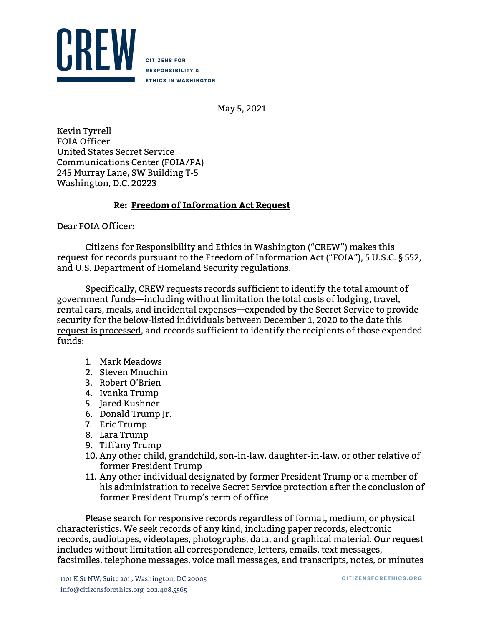

**CITIZENS FOR RESPONSIBILITY & ETHICS IN WASHINGTON** 

May 5, 2021

Kevin Tyrrell FOIA Officer United States Secret Service Communications Center (FOIA/PA) 245 Murray Lane, SW Building T-5 Washington, D.C. 20223

## **Re: Freedom of Information Act Request**

Dear FOIA Officer:

Citizens for Responsibility and Ethics in Washington ("CREW") makes this request for records pursuant to the Freedom of Information Act ("FOIA"), 5 U.S.C. § 552, and U.S. Department of Homeland Security regulations.

Specifically, CREW requests records sufficient to identify the total amount of government funds—including without limitation the total costs of lodging, travel, rental cars, meals, and incidental expenses—expended by the Secret Service to provide security for the below-listed individuals between December 1, 2020 to the date this request is processed, and records sufficient to identify the recipients of those expended funds:

- 1. Mark Meadows
- 2. Steven Mnuchin
- 3. Robert O'Brien
- 4. Ivanka Trump
- 5. Jared Kushner
- 6. Donald Trump Jr.
- 7. Eric Trump
- 8. Lara Trump
- 9. Tiffany Trump
- 10. Any other child, grandchild, son-in-law, daughter-in-law, or other relative of former President Trump
- 11. Any other individual designated by former President Trump or a member of his administration to receive Secret Service protection after the conclusion of former President Trump's term of office

Please search for responsive records regardless of format, medium, or physical characteristics. We seek records of any kind, including paper records, electronic records, audiotapes, videotapes, photographs, data, and graphical material. Our request includes without limitation all correspondence, letters, emails, text messages, facsimiles, telephone messages, voice mail messages, and transcripts, notes, or minutes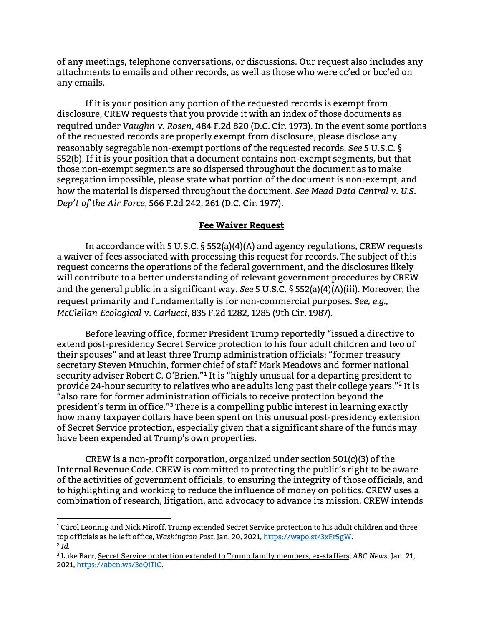of any meetings, telephone conversations, or discussions. Our request also includes any attachments to emails and other records, as well as those who were cc'ed or bcc'ed on any emails.

If it is your position any portion of the requested records is exempt from disclosure, CREW requests that you provide it with an index of those documents as required under *Vaughn v. Rosen*, 484 F.2d 820 (D.C. Cir. 1973). In the event some portions of the requested records are properly exempt from disclosure, please disclose any reasonably segregable non-exempt portions of the requested records. *See* 5 U.S.C. § 552(b). If it is your position that a document contains non-exempt segments, but that those non-exempt segments are so dispersed throughout the document as to make segregation impossible, please state what portion of the document is non-exempt, and how the material is dispersed throughout the document. *See Mead Data Central v. U.S. Dep't of the Air Force*, 566 F.2d 242, 261 (D.C. Cir. 1977).

## **Fee Waiver Request**

In accordance with 5 U.S.C. § 552(a)(4)(A) and agency regulations, CREW requests a waiver of fees associated with processing this request for records. The subject of this request concerns the operations of the federal government, and the disclosures likely will contribute to a better understanding of relevant government procedures by CREW and the general public in a significant way. *See* 5 U.S.C. § 552(a)(4)(A)(iii). Moreover, the request primarily and fundamentally is for non-commercial purposes. *See, e.g.*, *McClellan Ecological v. Carlucci*, 835 F.2d 1282, 1285 (9th Cir. 1987).

Before leaving office, former President Trump reportedly "issued a directive to extend post-presidency Secret Service protection to his four adult children and two of their spouses" and at least three Trump administration officials: "former treasury secretary Steven Mnuchin, former chief of staff Mark Meadows and former national security adviser Robert C. O'Brien."[1](#page-1-0) It is "highly unusual for a departing president to provide 24-hour security to relatives who are adults long past their college years."[2](#page-1-1) It is also rare for former administration officials to receive protection beyond the president's term in office."[3](#page-1-2) There is a compelling public interest in learning exactly how many taxpayer dollars have been spent on this unusual post-presidency extension of Secret Service protection, especially given that a significant share of the funds may have been expended at Trump's own properties.

CREW is a non-profit corporation, organized under section 501(c)(3) of the Internal Revenue Code. CREW is committed to protecting the public's right to be aware of the activities of government officials, to ensuring the integrity of those officials, and to highlighting and working to reduce the influence of money on politics. CREW uses a combination of research, litigation, and advocacy to advance its mission. CREW intends

<span id="page-1-0"></span> $1$  Carol Leonnig and Nick Miroff, Trump extended Secret Service protection to his adult children and three top officials as he left office, *Washington Post*, Jan. 20, 2021[, https://wapo.st/3xFr5gW.](https://wapo.st/3xFr5gW) <sup>2</sup> *Id.*

<span id="page-1-2"></span><span id="page-1-1"></span><sup>3</sup> Luke Barr, Secret Service protection extended to Trump family members, ex-staffers, *ABC News*, Jan. 21, 2021[, https://abcn.ws/3eQiTlC.](https://abcn.ws/3eQiTlC)